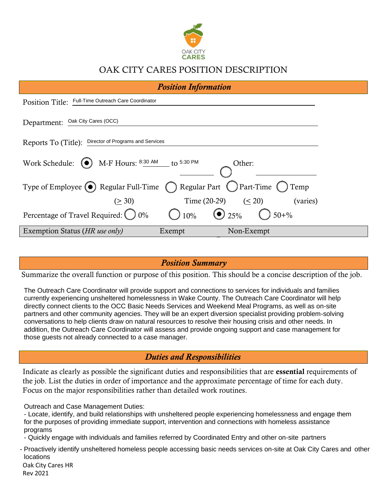

# OAK CITY CARES POSITION DESCRIPTION

| <b>Position Information</b>                                                         |  |  |  |  |  |  |
|-------------------------------------------------------------------------------------|--|--|--|--|--|--|
| Position Title: Full-Time Outreach Care Coordinator                                 |  |  |  |  |  |  |
| Department: Oak City Cares (OCC)                                                    |  |  |  |  |  |  |
| Reports To (Title): Director of Programs and Services                               |  |  |  |  |  |  |
| M-F Hours: 8:30 AM to 5:30 PM<br>Work Schedule:<br>Other:<br>$($ $\bullet$ $)$      |  |  |  |  |  |  |
| ( Regular Part ( ) Part-Time ( ) Temp<br>Type of Employee $\odot$ Regular Full-Time |  |  |  |  |  |  |
| Time (20-29) $( \leq 20)$<br>(2.30)<br>(varies)                                     |  |  |  |  |  |  |
| $\odot$ 25%<br>$\bigcirc$ 50+%<br>Percentage of Travel Required: 0%<br>$10\%$       |  |  |  |  |  |  |
| Exemption Status (HR use only)<br>Exempt<br>Non-Exempt                              |  |  |  |  |  |  |

### *Position Summary*

Summarize the overall function or purpose of this position. This should be a concise description of the job.

The Outreach Care Coordinator will provide support and connections to services for individuals and families currently experiencing unsheltered homelessness in Wake County. The Outreach Care Coordinator will help directly connect clients to the OCC Basic Needs Services and Weekend Meal Programs, as well as on-site partners and other community agencies. They will be an expert diversion specialist providing problem-solving conversations to help clients draw on natural resources to resolve their housing crisis and other needs. In addition, the Outreach Care Coordinator will assess and provide ongoing support and case management for those guests not already connected to a case manager.

# *Duties and Responsibilities*

Indicate as clearly as possible the significant duties and responsibilities that are essential requirements of the job. List the duties in order of importance and the approximate percentage of time for each duty. Focus on the major responsibilities rather than detailed work routines.

Outreach and Case Management Duties:

- Locate, identify, and build relationships with unsheltered people experiencing homelessness and engage them for the purposes of providing immediate support, intervention and connections with homeless assistance programs

- Quickly engage with individuals and families referred by Coordinated Entry and other on-site partners

- Proactively identify unsheltered homeless people accessing basic needs services on-site at Oak City Cares and other locations

Oak City Cares HR Rev 2021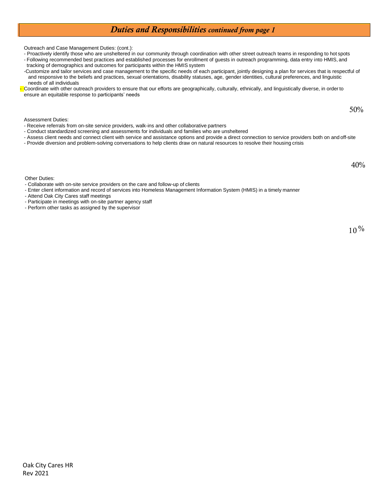#### *Duties and Responsibilities continued from page 1*

Outreach and Case Management Duties: (cont.):

- Proactively identify those who are unsheltered in our community through coordination with other street outreach teams in responding to hot spots - Following recommended best practices and established processes for enrollment of guests in outreach programming, data entry into HMIS, and

tracking of demographics and outcomes for participants within the HMIS system -Customize and tailor services and case management to the specific needs of each participant, jointly designing a plan for services that is respectful of and responsive to the beliefs and practices, sexual orientations, disability statuses, age, gender identities, cultural preferences, and linguistic

needs of all individuals Coordinate with other outreach providers to ensure that our efforts are geographically, culturally, ethnically, and linguistically diverse, in order to ensure an equitable response to participants' needs

 $50\%$ 

Assessment Duties:

- Receive referrals from on-site service providers, walk-ins and other collaborative partners
- Conduct standardized screening and assessments for individuals and families who are unsheltered
- Assess client needs and connect client with service and assistance options and provide a direct connection to service providers both on and off-site
- Provide diversion and problem-solving conversations to help clients draw on natural resources to resolve their housing crisis

40%

Other Duties:

- Collaborate with on-site service providers on the care and follow-up of clients
- Enter client information and record of services into Homeless Management Information System (HMIS) in a timely manner

- Attend Oak City Cares staff meetings

- Participate in meetings with on-site partner agency staff
- Perform other tasks as assigned by the supervisor

 $10\%$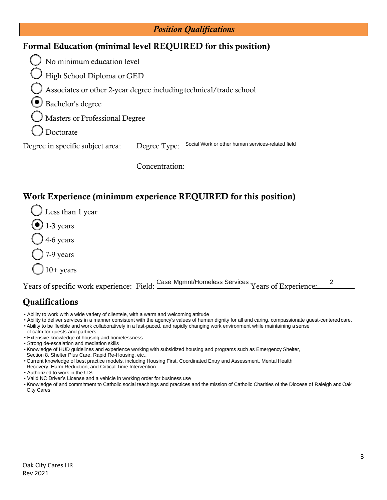| <b>Position Qualifications</b>                              |                                                                    |  |  |  |  |  |
|-------------------------------------------------------------|--------------------------------------------------------------------|--|--|--|--|--|
| Formal Education (minimal level REQUIRED for this position) |                                                                    |  |  |  |  |  |
| No minimum education level                                  |                                                                    |  |  |  |  |  |
| High School Diploma or GED                                  |                                                                    |  |  |  |  |  |
|                                                             | Associates or other 2-year degree including technical/trade school |  |  |  |  |  |
| Bachelor's degree                                           |                                                                    |  |  |  |  |  |
| Masters or Professional Degree                              |                                                                    |  |  |  |  |  |
| Doctorate                                                   |                                                                    |  |  |  |  |  |
| Degree in specific subject area:                            | Degree Type: Social Work or other human services-related field     |  |  |  |  |  |
|                                                             | Concentration:                                                     |  |  |  |  |  |
|                                                             | Work Experience (minimum experience REQUIRED for this position)    |  |  |  |  |  |
| Less than 1 year                                            |                                                                    |  |  |  |  |  |
| $\bullet$ 1-3 years                                         |                                                                    |  |  |  |  |  |
| 4-6 years                                                   |                                                                    |  |  |  |  |  |
| 7-9 years                                                   |                                                                    |  |  |  |  |  |
| $10+$ years                                                 |                                                                    |  |  |  |  |  |
| Years of specific work experience: Field:                   | Case Mgmnt/Homeless Services Years of Experience:<br>2             |  |  |  |  |  |

# **Qualifications**

- Ability to work with a wide variety of clientele, with a warm and welcoming attitude
- Ability to deliver services in a manner consistent with the agency's values of human dignity for all and caring, compassionate guest-centered care.
- Ability to be flexible and work collaboratively in a fast-paced, and rapidly changing work environment while maintaining a sense
- of calm for guests and partners
- Extensive knowledge of housing and homelessness
- Strong de-escalation and mediation skills
- Knowledge of HUD guidelines and experience working with subsidized housing and programs such as Emergency Shelter,
- Section 8, Shelter Plus Care, Rapid Re-Housing, etc.,
- Current knowledge of best practice models, including Housing First, Coordinated Entry and Assessment, Mental Health
- Recovery, Harm Reduction, and Critical Time Intervention
- Authorized to work in the U.S.
- Valid NC Driver's License and a vehicle in working order for business use
- Knowledge of and commitment to Catholic social teachings and practices and the mission of Catholic Charities of the Diocese of Raleigh andOak City Cares